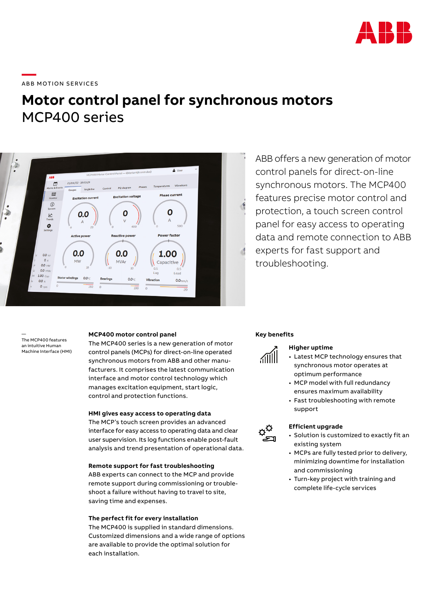

# **—**  ABB MOTION SERVICES

# **Motor control panel for synchronous motors** MCP400 series



ABB offers a new generation of motor control panels for direct-on-line synchronous motors. The MCP400 features precise motor control and protection, a touch screen control panel for easy access to operating data and remote connection to ABB experts for fast support and troubleshooting.

— The MCP400 features an intuitive Human Machine Interface (HMI)

## **MCP400 motor control panel**

The MCP400 series is a new generation of motor control panels (MCPs) for direct-on-line operated synchronous motors from ABB and other manufacturers. It comprises the latest communication interface and motor control technology which manages excitation equipment, start logic, control and protection functions.

# **HMI gives easy access to operating data**

The MCP's touch screen provides an advanced interface for easy access to operating data and clear user supervision. Its log functions enable post-fault analysis and trend presentation of operational data.

# **Remote support for fast troubleshooting**

ABB experts can connect to the MCP and provide remote support during commissioning or troubleshoot a failure without having to travel to site, saving time and expenses.

# **The perfect fit for every installation**

The MCP400 is supplied in standard dimensions. Customized dimensions and a wide range of options are available to provide the optimal solution for each installation.

#### **Key benefits**



 $\sigma_{\mathcal{O}}^{\mathsf{\dot{O}}}$ ٣

# **Higher uptime**

- Latest MCP technology ensures that synchronous motor operates at optimum performance
- MCP model with full redundancy ensures maximum availability
- Fast troubleshooting with remote support

# **Efficient upgrade**

- Solution is customized to exactly fit an existing system
- MCPs are fully tested prior to delivery, minimizing downtime for installation and commissioning
- Turn-key project with training and complete life-cycle services